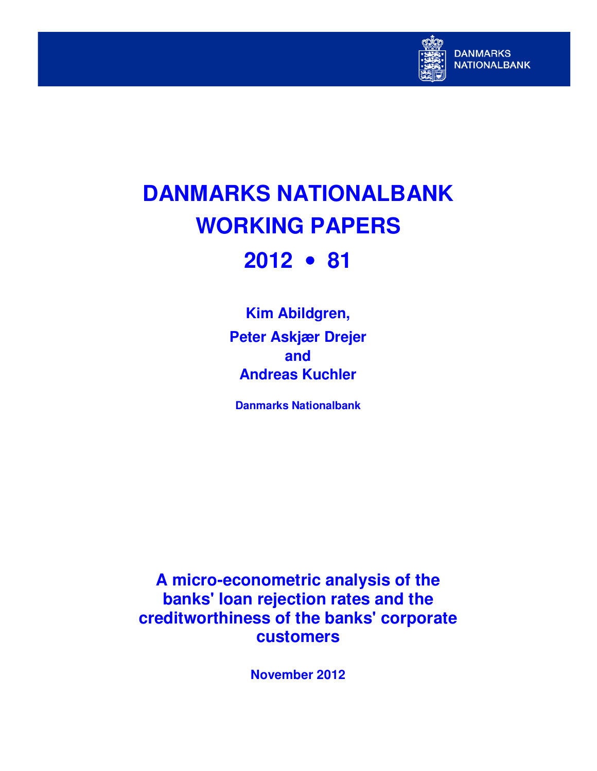

# **DANMARKS NATIONALBANK WORKING PAPERS 2012** • **81**

**Kim Abildgren, Peter Askjær Drejer and Andreas Kuchler** 

**Danmarks Nationalbank** 

**A micro-econometric analysis of the banks' loan rejection rates and the creditworthiness of the banks' corporate customers** 

**November 2012**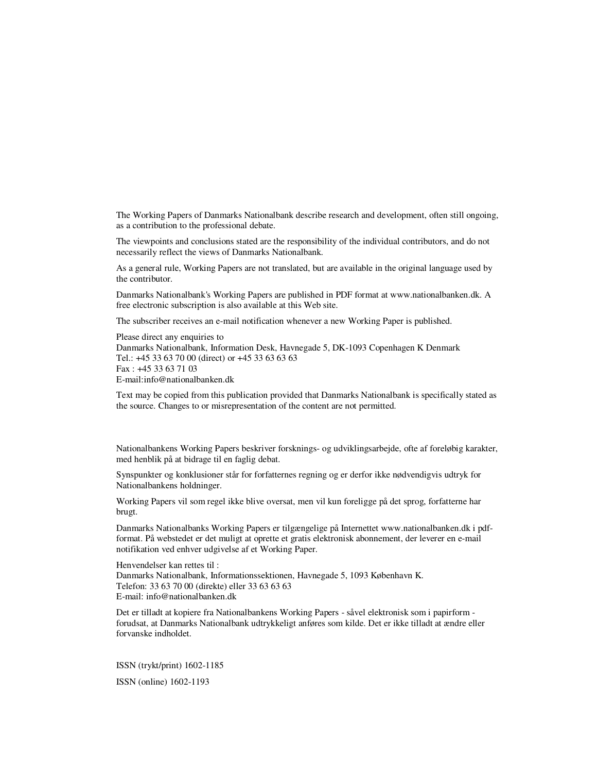The Working Papers of Danmarks Nationalbank describe research and development, often still ongoing, as a contribution to the professional debate.

The viewpoints and conclusions stated are the responsibility of the individual contributors, and do not necessarily reflect the views of Danmarks Nationalbank.

As a general rule, Working Papers are not translated, but are available in the original language used by the contributor.

Danmarks Nationalbank's Working Papers are published in PDF format at www.nationalbanken.dk. A free electronic subscription is also available at this Web site.

The subscriber receives an e-mail notification whenever a new Working Paper is published.

Please direct any enquiries to Danmarks Nationalbank, Information Desk, Havnegade 5, DK-1093 Copenhagen K Denmark Tel.: +45 33 63 70 00 (direct) or +45 33 63 63 63 Fax : +45 33 63 71 03 E-mail:info@nationalbanken.dk

Text may be copied from this publication provided that Danmarks Nationalbank is specifically stated as the source. Changes to or misrepresentation of the content are not permitted.

Nationalbankens Working Papers beskriver forsknings- og udviklingsarbejde, ofte af foreløbig karakter, med henblik på at bidrage til en faglig debat.

Synspunkter og konklusioner står for forfatternes regning og er derfor ikke nødvendigvis udtryk for Nationalbankens holdninger.

Working Papers vil som regel ikke blive oversat, men vil kun foreligge på det sprog, forfatterne har brugt.

Danmarks Nationalbanks Working Papers er tilgængelige på Internettet www.nationalbanken.dk i pdfformat. På webstedet er det muligt at oprette et gratis elektronisk abonnement, der leverer en e-mail notifikation ved enhver udgivelse af et Working Paper.

Henvendelser kan rettes til : Danmarks Nationalbank, Informationssektionen, Havnegade 5, 1093 København K. Telefon: 33 63 70 00 (direkte) eller 33 63 63 63 E-mail: info@nationalbanken.dk

Det er tilladt at kopiere fra Nationalbankens Working Papers - såvel elektronisk som i papirform forudsat, at Danmarks Nationalbank udtrykkeligt anføres som kilde. Det er ikke tilladt at ændre eller forvanske indholdet.

ISSN (trykt/print) 1602-1185 ISSN (online) 1602-1193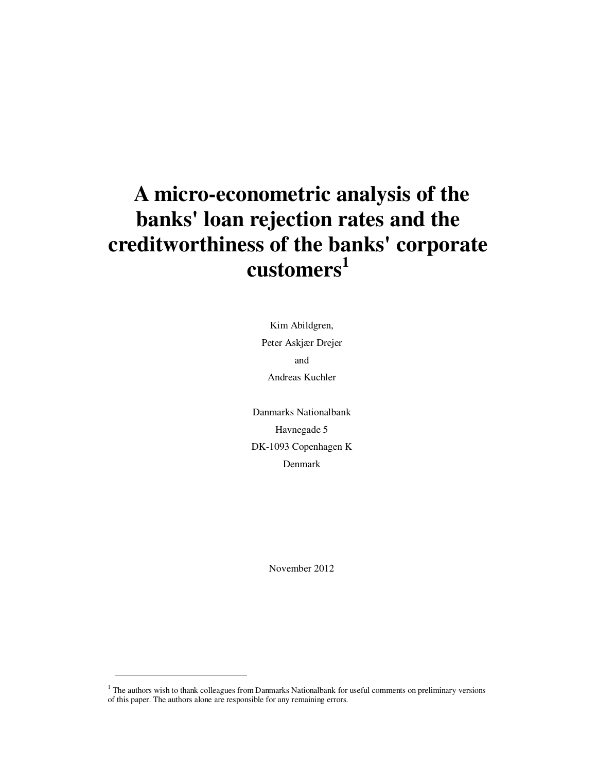## **A micro-econometric analysis of the banks' loan rejection rates and the creditworthiness of the banks' corporate customers<sup>1</sup>**

Kim Abildgren, Peter Askjær Drejer and Andreas Kuchler

Danmarks Nationalbank Havnegade 5 DK-1093 Copenhagen K Denmark

November 2012

-

<sup>&</sup>lt;sup>1</sup> The authors wish to thank colleagues from Danmarks Nationalbank for useful comments on preliminary versions of this paper. The authors alone are responsible for any remaining errors.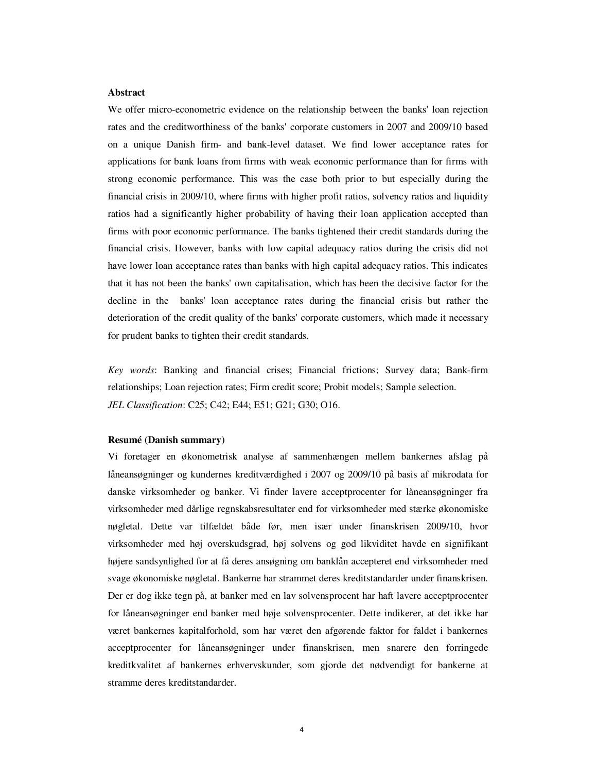#### **Abstract**

We offer micro-econometric evidence on the relationship between the banks' loan rejection rates and the creditworthiness of the banks' corporate customers in 2007 and 2009/10 based on a unique Danish firm- and bank-level dataset. We find lower acceptance rates for applications for bank loans from firms with weak economic performance than for firms with strong economic performance. This was the case both prior to but especially during the financial crisis in 2009/10, where firms with higher profit ratios, solvency ratios and liquidity ratios had a significantly higher probability of having their loan application accepted than firms with poor economic performance. The banks tightened their credit standards during the financial crisis. However, banks with low capital adequacy ratios during the crisis did not have lower loan acceptance rates than banks with high capital adequacy ratios. This indicates that it has not been the banks' own capitalisation, which has been the decisive factor for the decline in the banks' loan acceptance rates during the financial crisis but rather the deterioration of the credit quality of the banks' corporate customers, which made it necessary for prudent banks to tighten their credit standards.

*Key words*: Banking and financial crises; Financial frictions; Survey data; Bank-firm relationships; Loan rejection rates; Firm credit score; Probit models; Sample selection. *JEL Classification*: C25; C42; E44; E51; G21; G30; O16.

#### **Resumé (Danish summary)**

Vi foretager en økonometrisk analyse af sammenhængen mellem bankernes afslag på låneansøgninger og kundernes kreditværdighed i 2007 og 2009/10 på basis af mikrodata for danske virksomheder og banker. Vi finder lavere acceptprocenter for låneansøgninger fra virksomheder med dårlige regnskabsresultater end for virksomheder med stærke økonomiske nøgletal. Dette var tilfældet både før, men især under finanskrisen 2009/10, hvor virksomheder med høj overskudsgrad, høj solvens og god likviditet havde en signifikant højere sandsynlighed for at få deres ansøgning om banklån accepteret end virksomheder med svage økonomiske nøgletal. Bankerne har strammet deres kreditstandarder under finanskrisen. Der er dog ikke tegn på, at banker med en lav solvensprocent har haft lavere acceptprocenter for låneansøgninger end banker med høje solvensprocenter. Dette indikerer, at det ikke har været bankernes kapitalforhold, som har været den afgørende faktor for faldet i bankernes acceptprocenter for låneansøgninger under finanskrisen, men snarere den forringede kreditkvalitet af bankernes erhvervskunder, som gjorde det nødvendigt for bankerne at stramme deres kreditstandarder.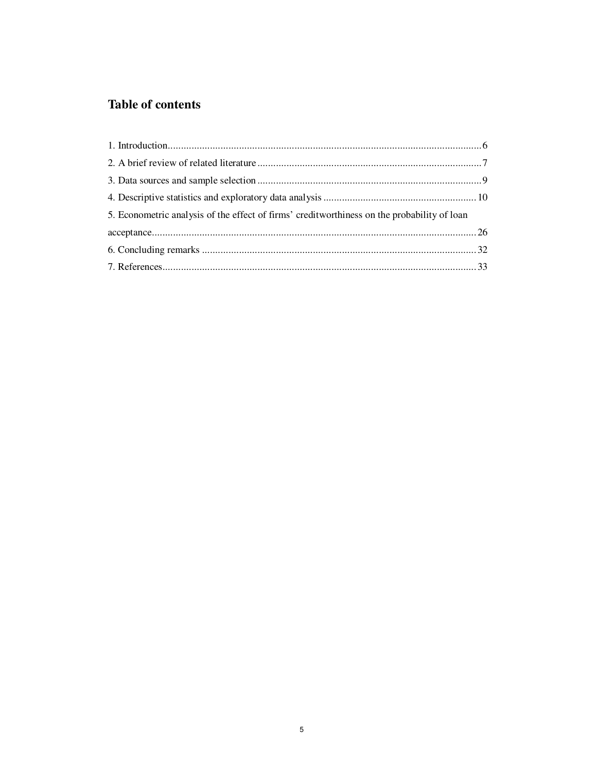## **Table of contents**

| 5. Econometric analysis of the effect of firms' creditworthiness on the probability of loan |  |
|---------------------------------------------------------------------------------------------|--|
|                                                                                             |  |
|                                                                                             |  |
|                                                                                             |  |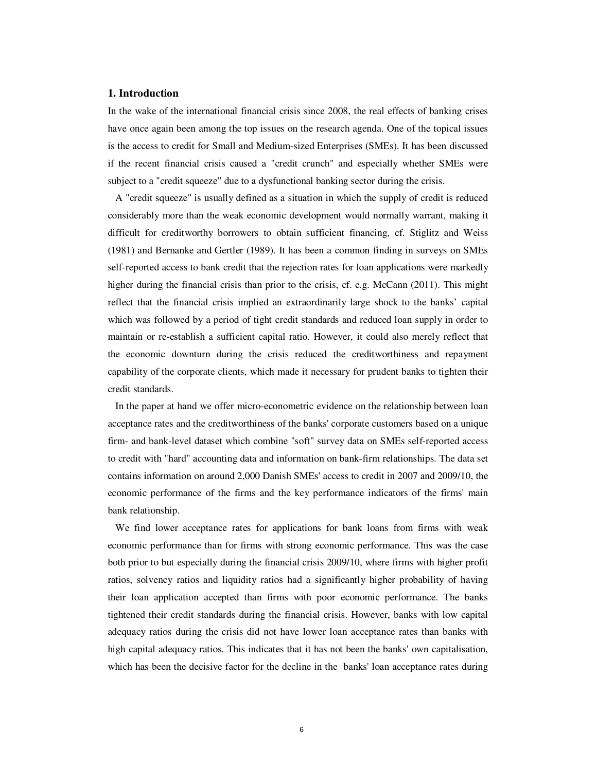#### **1. Introduction**

In the wake of the international financial crisis since 2008, the real effects of banking crises have once again been among the top issues on the research agenda. One of the topical issues is the access to credit for Small and Medium-sized Enterprises (SMEs). It has been discussed if the recent financial crisis caused a "credit crunch" and especially whether SMEs were subject to a "credit squeeze" due to a dysfunctional banking sector during the crisis.

A "credit squeeze" is usually defined as a situation in which the supply of credit is reduced considerably more than the weak economic development would normally warrant, making it difficult for creditworthy borrowers to obtain sufficient financing, cf. Stiglitz and Weiss (1981) and Bernanke and Gertler (1989). It has been a common finding in surveys on SMEs self-reported access to bank credit that the rejection rates for loan applications were markedly higher during the financial crisis than prior to the crisis, cf. e.g. McCann (2011). This might reflect that the financial crisis implied an extraordinarily large shock to the banks' capital which was followed by a period of tight credit standards and reduced loan supply in order to maintain or re-establish a sufficient capital ratio. However, it could also merely reflect that the economic downturn during the crisis reduced the creditworthiness and repayment capability of the corporate clients, which made it necessary for prudent banks to tighten their credit standards.

In the paper at hand we offer micro-econometric evidence on the relationship between loan acceptance rates and the creditworthiness of the banks' corporate customers based on a unique firm- and bank-level dataset which combine "soft" survey data on SMEs self-reported access to credit with "hard" accounting data and information on bank-firm relationships. The data set contains information on around 2,000 Danish SMEs' access to credit in 2007 and 2009/10, the economic performance of the firms and the key performance indicators of the firms' main bank relationship.

We find lower acceptance rates for applications for bank loans from firms with weak economic performance than for firms with strong economic performance. This was the case both prior to but especially during the financial crisis 2009/10, where firms with higher profit ratios, solvency ratios and liquidity ratios had a significantly higher probability of having their loan application accepted than firms with poor economic performance. The banks tightened their credit standards during the financial crisis. However, banks with low capital adequacy ratios during the crisis did not have lower loan acceptance rates than banks with high capital adequacy ratios. This indicates that it has not been the banks' own capitalisation, which has been the decisive factor for the decline in the banks' loan acceptance rates during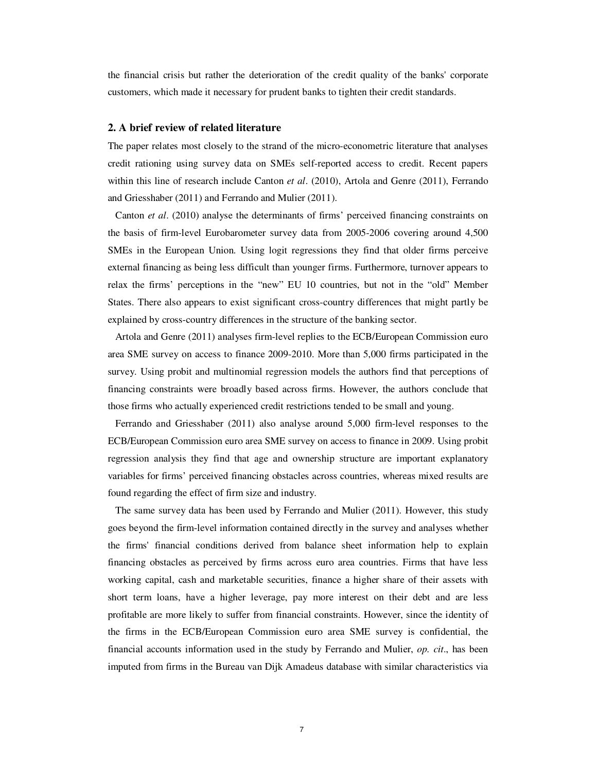the financial crisis but rather the deterioration of the credit quality of the banks' corporate customers, which made it necessary for prudent banks to tighten their credit standards.

#### **2. A brief review of related literature**

The paper relates most closely to the strand of the micro-econometric literature that analyses credit rationing using survey data on SMEs self-reported access to credit. Recent papers within this line of research include Canton *et al*. (2010), Artola and Genre (2011), Ferrando and Griesshaber (2011) and Ferrando and Mulier (2011).

Canton *et al*. (2010) analyse the determinants of firms' perceived financing constraints on the basis of firm-level Eurobarometer survey data from 2005-2006 covering around 4,500 SMEs in the European Union. Using logit regressions they find that older firms perceive external financing as being less difficult than younger firms. Furthermore, turnover appears to relax the firms' perceptions in the "new" EU 10 countries, but not in the "old" Member States. There also appears to exist significant cross-country differences that might partly be explained by cross-country differences in the structure of the banking sector.

Artola and Genre (2011) analyses firm-level replies to the ECB/European Commission euro area SME survey on access to finance 2009-2010. More than 5,000 firms participated in the survey. Using probit and multinomial regression models the authors find that perceptions of financing constraints were broadly based across firms. However, the authors conclude that those firms who actually experienced credit restrictions tended to be small and young.

Ferrando and Griesshaber (2011) also analyse around 5,000 firm-level responses to the ECB/European Commission euro area SME survey on access to finance in 2009. Using probit regression analysis they find that age and ownership structure are important explanatory variables for firms' perceived financing obstacles across countries, whereas mixed results are found regarding the effect of firm size and industry.

The same survey data has been used by Ferrando and Mulier (2011). However, this study goes beyond the firm-level information contained directly in the survey and analyses whether the firms' financial conditions derived from balance sheet information help to explain financing obstacles as perceived by firms across euro area countries. Firms that have less working capital, cash and marketable securities, finance a higher share of their assets with short term loans, have a higher leverage, pay more interest on their debt and are less profitable are more likely to suffer from financial constraints. However, since the identity of the firms in the ECB/European Commission euro area SME survey is confidential, the financial accounts information used in the study by Ferrando and Mulier, *op. cit*., has been imputed from firms in the Bureau van Dijk Amadeus database with similar characteristics via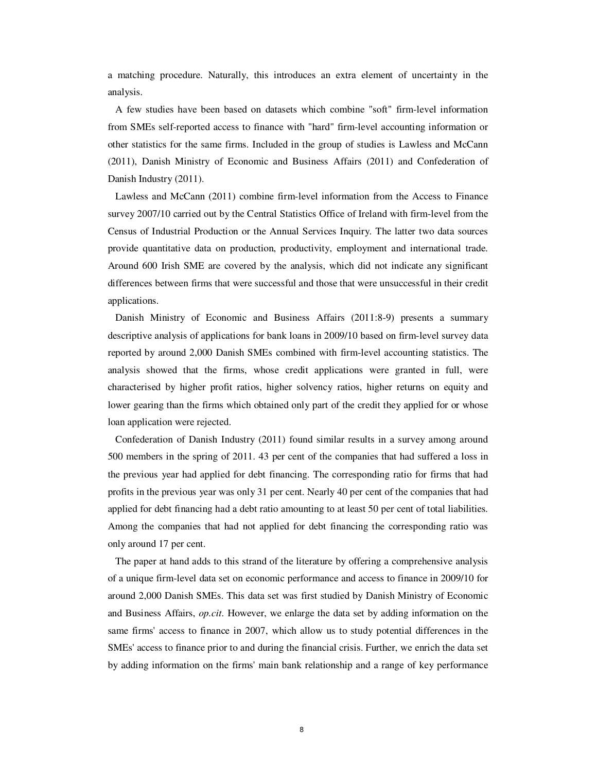a matching procedure. Naturally, this introduces an extra element of uncertainty in the analysis.

A few studies have been based on datasets which combine "soft" firm-level information from SMEs self-reported access to finance with "hard" firm-level accounting information or other statistics for the same firms. Included in the group of studies is Lawless and McCann (2011), Danish Ministry of Economic and Business Affairs (2011) and Confederation of Danish Industry (2011).

Lawless and McCann (2011) combine firm-level information from the Access to Finance survey 2007/10 carried out by the Central Statistics Office of Ireland with firm-level from the Census of Industrial Production or the Annual Services Inquiry. The latter two data sources provide quantitative data on production, productivity, employment and international trade. Around 600 Irish SME are covered by the analysis, which did not indicate any significant differences between firms that were successful and those that were unsuccessful in their credit applications.

Danish Ministry of Economic and Business Affairs (2011:8-9) presents a summary descriptive analysis of applications for bank loans in 2009/10 based on firm-level survey data reported by around 2,000 Danish SMEs combined with firm-level accounting statistics. The analysis showed that the firms, whose credit applications were granted in full, were characterised by higher profit ratios, higher solvency ratios, higher returns on equity and lower gearing than the firms which obtained only part of the credit they applied for or whose loan application were rejected.

Confederation of Danish Industry (2011) found similar results in a survey among around 500 members in the spring of 2011. 43 per cent of the companies that had suffered a loss in the previous year had applied for debt financing. The corresponding ratio for firms that had profits in the previous year was only 31 per cent. Nearly 40 per cent of the companies that had applied for debt financing had a debt ratio amounting to at least 50 per cent of total liabilities. Among the companies that had not applied for debt financing the corresponding ratio was only around 17 per cent.

The paper at hand adds to this strand of the literature by offering a comprehensive analysis of a unique firm-level data set on economic performance and access to finance in 2009/10 for around 2,000 Danish SMEs. This data set was first studied by Danish Ministry of Economic and Business Affairs, *op.cit*. However, we enlarge the data set by adding information on the same firms' access to finance in 2007, which allow us to study potential differences in the SMEs' access to finance prior to and during the financial crisis. Further, we enrich the data set by adding information on the firms' main bank relationship and a range of key performance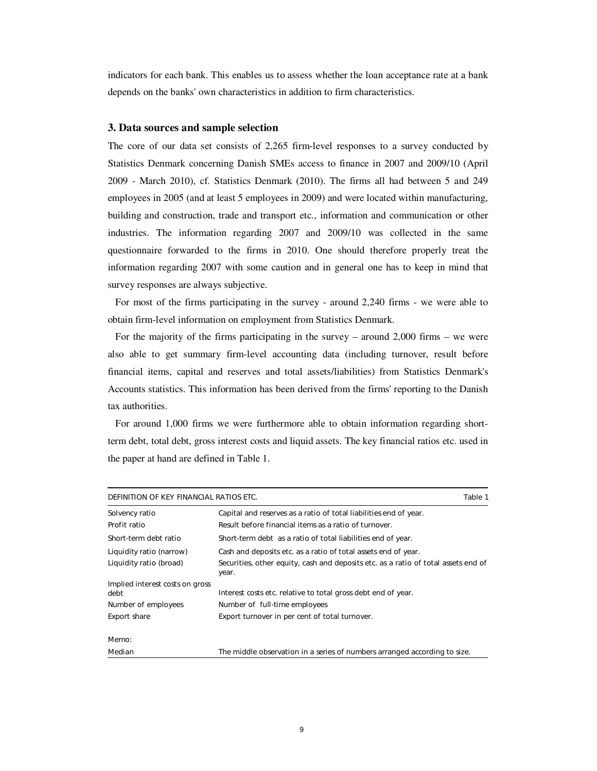indicators for each bank. This enables us to assess whether the loan acceptance rate at a bank depends on the banks' own characteristics in addition to firm characteristics.

#### **3. Data sources and sample selection**

The core of our data set consists of 2,265 firm-level responses to a survey conducted by Statistics Denmark concerning Danish SMEs access to finance in 2007 and 2009/10 (April 2009 - March 2010), cf. Statistics Denmark (2010). The firms all had between 5 and 249 employees in 2005 (and at least 5 employees in 2009) and were located within manufacturing, building and construction, trade and transport etc., information and communication or other industries. The information regarding 2007 and 2009/10 was collected in the same questionnaire forwarded to the firms in 2010. One should therefore properly treat the information regarding 2007 with some caution and in general one has to keep in mind that survey responses are always subjective.

For most of the firms participating in the survey - around 2,240 firms - we were able to obtain firm-level information on employment from Statistics Denmark.

For the majority of the firms participating in the survey – around 2,000 firms – we were also able to get summary firm-level accounting data (including turnover, result before financial items, capital and reserves and total assets/liabilities) from Statistics Denmark's Accounts statistics. This information has been derived from the firms' reporting to the Danish tax authorities.

For around 1,000 firms we were furthermore able to obtain information regarding shortterm debt, total debt, gross interest costs and liquid assets. The key financial ratios etc. used in the paper at hand are defined in Table 1.

| DEFINITION OF KEY FINANCIAL RATIOS ETC.<br>Table 1 |                                                                                             |  |  |  |  |  |
|----------------------------------------------------|---------------------------------------------------------------------------------------------|--|--|--|--|--|
| Solvency ratio                                     | Capital and reserves as a ratio of total liabilities end of year.                           |  |  |  |  |  |
| Profit ratio                                       | Result before financial items as a ratio of turnover.                                       |  |  |  |  |  |
| Short-term debt ratio                              | Short-term debt as a ratio of total liabilities end of year.                                |  |  |  |  |  |
| Liquidity ratio (narrow)                           | Cash and deposits etc. as a ratio of total assets end of year.                              |  |  |  |  |  |
| Liquidity ratio (broad)                            | Securities, other equity, cash and deposits etc. as a ratio of total assets end of<br>year. |  |  |  |  |  |
| Implied interest costs on gross<br>debt            | Interest costs etc. relative to total gross debt end of year.                               |  |  |  |  |  |
| Number of employees                                | Number of full-time employees                                                               |  |  |  |  |  |
| <b>Export share</b>                                | Export turnover in per cent of total turnover.                                              |  |  |  |  |  |
| Memo:                                              |                                                                                             |  |  |  |  |  |
| Median                                             | The middle observation in a series of numbers arranged according to size.                   |  |  |  |  |  |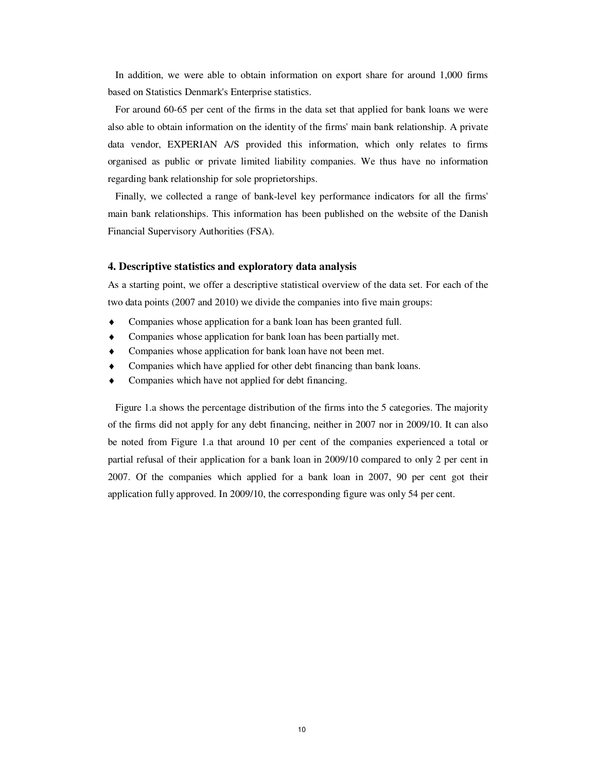In addition, we were able to obtain information on export share for around 1,000 firms based on Statistics Denmark's Enterprise statistics.

For around 60-65 per cent of the firms in the data set that applied for bank loans we were also able to obtain information on the identity of the firms' main bank relationship. A private data vendor, EXPERIAN A/S provided this information, which only relates to firms organised as public or private limited liability companies. We thus have no information regarding bank relationship for sole proprietorships.

Finally, we collected a range of bank-level key performance indicators for all the firms' main bank relationships. This information has been published on the website of the Danish Financial Supervisory Authorities (FSA).

#### **4. Descriptive statistics and exploratory data analysis**

As a starting point, we offer a descriptive statistical overview of the data set. For each of the two data points (2007 and 2010) we divide the companies into five main groups:

- Companies whose application for a bank loan has been granted full.
- ♦ Companies whose application for bank loan has been partially met.
- Companies whose application for bank loan have not been met.
- Companies which have applied for other debt financing than bank loans.
- Companies which have not applied for debt financing.

Figure 1.a shows the percentage distribution of the firms into the 5 categories. The majority of the firms did not apply for any debt financing, neither in 2007 nor in 2009/10. It can also be noted from Figure 1.a that around 10 per cent of the companies experienced a total or partial refusal of their application for a bank loan in 2009/10 compared to only 2 per cent in 2007. Of the companies which applied for a bank loan in 2007, 90 per cent got their application fully approved. In 2009/10, the corresponding figure was only 54 per cent.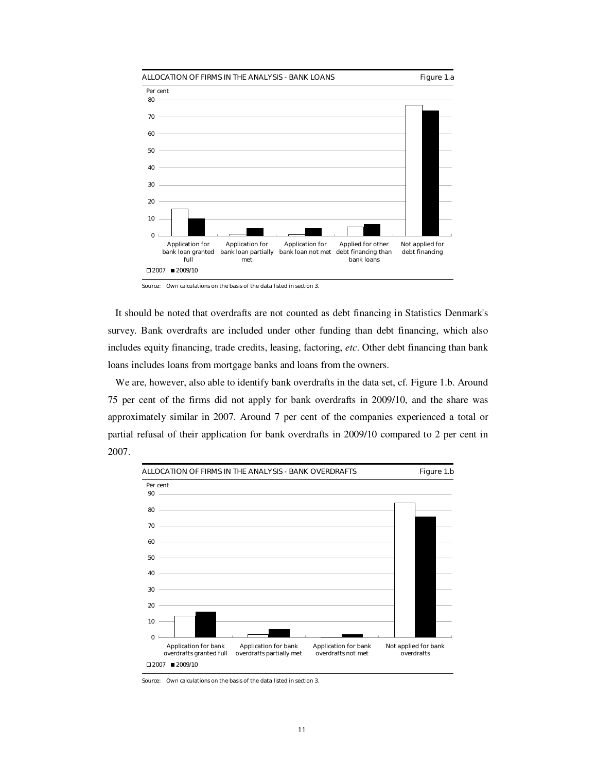

Source: Own calculations on the basis of the data listed in section 3.

It should be noted that overdrafts are not counted as debt financing in Statistics Denmark's survey. Bank overdrafts are included under other funding than debt financing, which also includes equity financing, trade credits, leasing, factoring, *etc*. Other debt financing than bank loans includes loans from mortgage banks and loans from the owners.

We are, however, also able to identify bank overdrafts in the data set, cf. Figure 1.b. Around 75 per cent of the firms did not apply for bank overdrafts in 2009/10, and the share was approximately similar in 2007. Around 7 per cent of the companies experienced a total or partial refusal of their application for bank overdrafts in 2009/10 compared to 2 per cent in 2007.



Source: Own calculations on the basis of the data listed in section 3.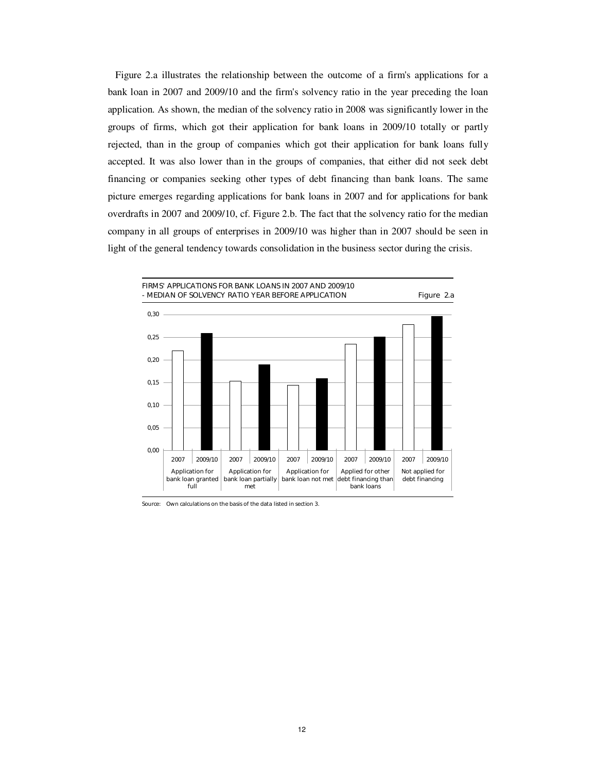Figure 2.a illustrates the relationship between the outcome of a firm's applications for a bank loan in 2007 and 2009/10 and the firm's solvency ratio in the year preceding the loan application. As shown, the median of the solvency ratio in 2008 was significantly lower in the groups of firms, which got their application for bank loans in 2009/10 totally or partly rejected, than in the group of companies which got their application for bank loans fully accepted. It was also lower than in the groups of companies, that either did not seek debt financing or companies seeking other types of debt financing than bank loans. The same picture emerges regarding applications for bank loans in 2007 and for applications for bank overdrafts in 2007 and 2009/10, cf. Figure 2.b. The fact that the solvency ratio for the median company in all groups of enterprises in 2009/10 was higher than in 2007 should be seen in light of the general tendency towards consolidation in the business sector during the crisis.



Source: Own calculations on the basis of the data listed in section 3.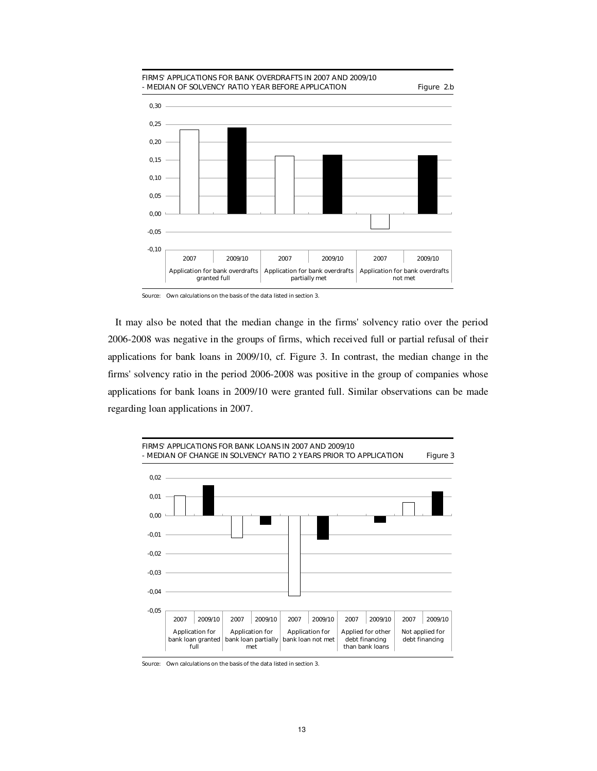

Source: Own calculations on the basis of the data listed in section 3.

It may also be noted that the median change in the firms' solvency ratio over the period 2006-2008 was negative in the groups of firms, which received full or partial refusal of their applications for bank loans in 2009/10, cf. Figure 3. In contrast, the median change in the firms' solvency ratio in the period 2006-2008 was positive in the group of companies whose applications for bank loans in 2009/10 were granted full. Similar observations can be made regarding loan applications in 2007.



Source: Own calculations on the basis of the data listed in section 3.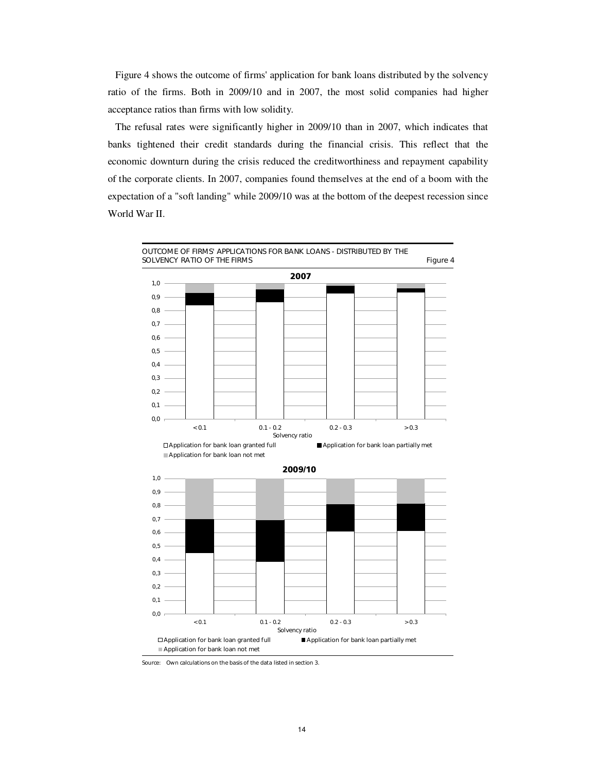Figure 4 shows the outcome of firms' application for bank loans distributed by the solvency ratio of the firms. Both in 2009/10 and in 2007, the most solid companies had higher acceptance ratios than firms with low solidity.

The refusal rates were significantly higher in 2009/10 than in 2007, which indicates that banks tightened their credit standards during the financial crisis. This reflect that the economic downturn during the crisis reduced the creditworthiness and repayment capability of the corporate clients. In 2007, companies found themselves at the end of a boom with the expectation of a "soft landing" while 2009/10 was at the bottom of the deepest recession since World War II.



Source: Own calculations on the basis of the data listed in section 3.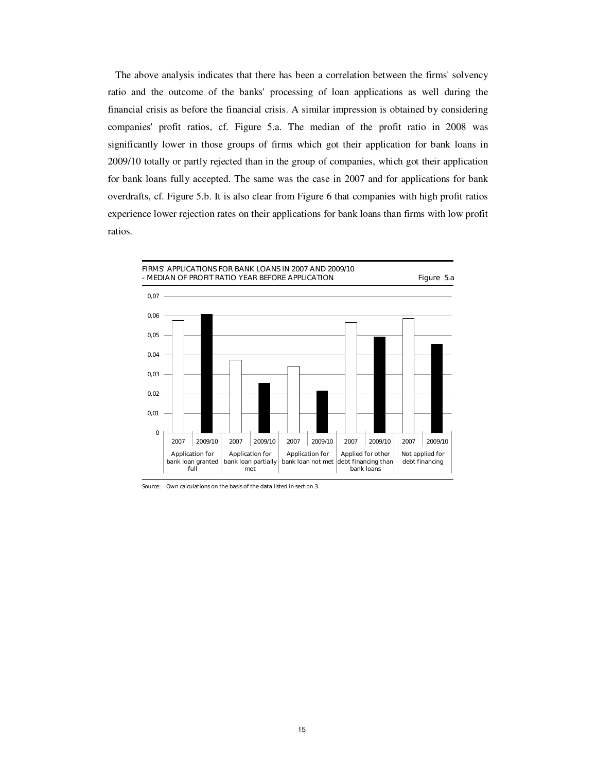The above analysis indicates that there has been a correlation between the firms' solvency ratio and the outcome of the banks' processing of loan applications as well during the financial crisis as before the financial crisis. A similar impression is obtained by considering companies' profit ratios, cf. Figure 5.a. The median of the profit ratio in 2008 was significantly lower in those groups of firms which got their application for bank loans in 2009/10 totally or partly rejected than in the group of companies, which got their application for bank loans fully accepted. The same was the case in 2007 and for applications for bank overdrafts, cf. Figure 5.b. It is also clear from Figure 6 that companies with high profit ratios experience lower rejection rates on their applications for bank loans than firms with low profit ratios.



Source: Own calculations on the basis of the data listed in section 3.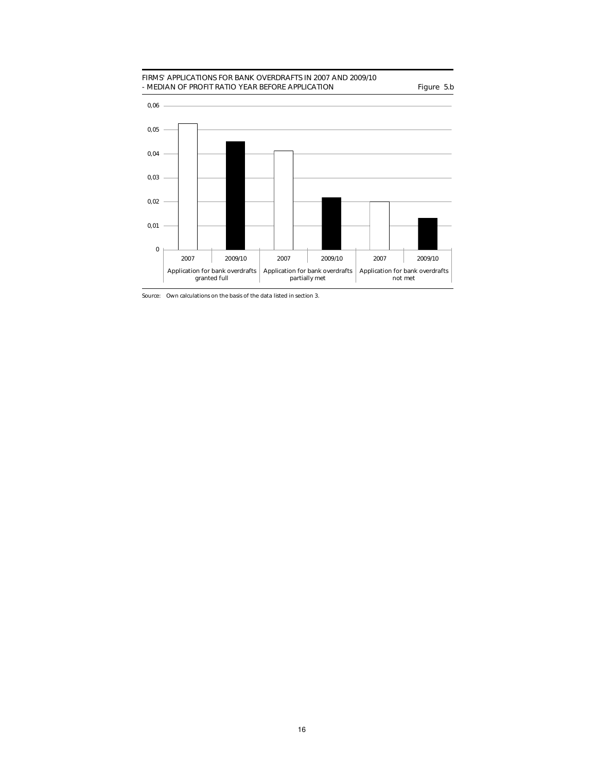#### FIRMS' APPLICATIONS FOR BANK OVERDRAFTS IN 2007 AND 2009/10 - MEDIAN OF PROFIT RATIO YEAR BEFORE APPLICATION Figure 5.b



Source: Own calculations on the basis of the data listed in section 3.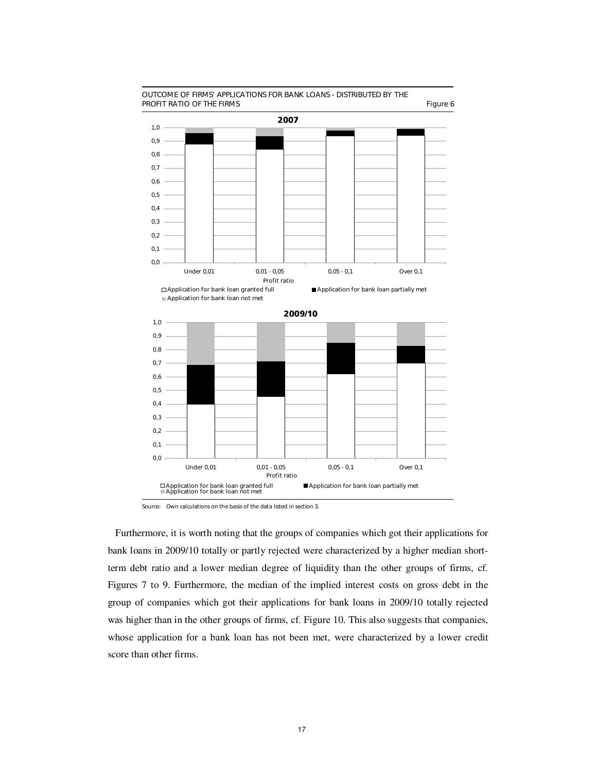

#### OUTCOME OF FIRMS' APPLICATIONS FOR BANK LOANS - DISTRIBUTED BY THE PROFIT RATIO OF THE FIRMS Figure 6

Furthermore, it is worth noting that the groups of companies which got their applications for bank loans in 2009/10 totally or partly rejected were characterized by a higher median shortterm debt ratio and a lower median degree of liquidity than the other groups of firms, cf. Figures 7 to 9. Furthermore, the median of the implied interest costs on gross debt in the group of companies which got their applications for bank loans in 2009/10 totally rejected was higher than in the other groups of firms, cf. Figure 10. This also suggests that companies, whose application for a bank loan has not been met, were characterized by a lower credit score than other firms.

Source: Own calculations on the basis of the data listed in section 3.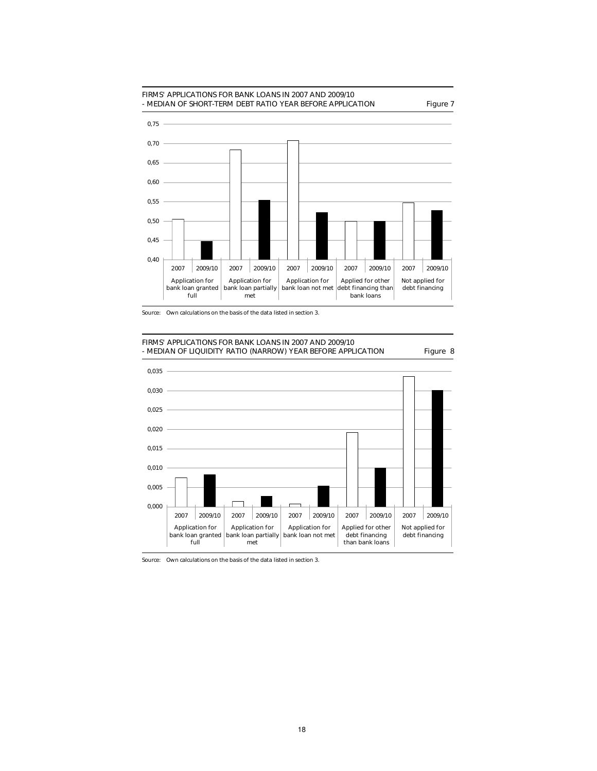



FIRMS' APPLICATIONS FOR BANK LOANS IN 2007 AND 2009/10 - MEDIAN OF LIQUIDITY RATIO (NARROW) YEAR BEFORE APPLICATION Figure 8



Source: Own calculations on the basis of the data listed in section 3.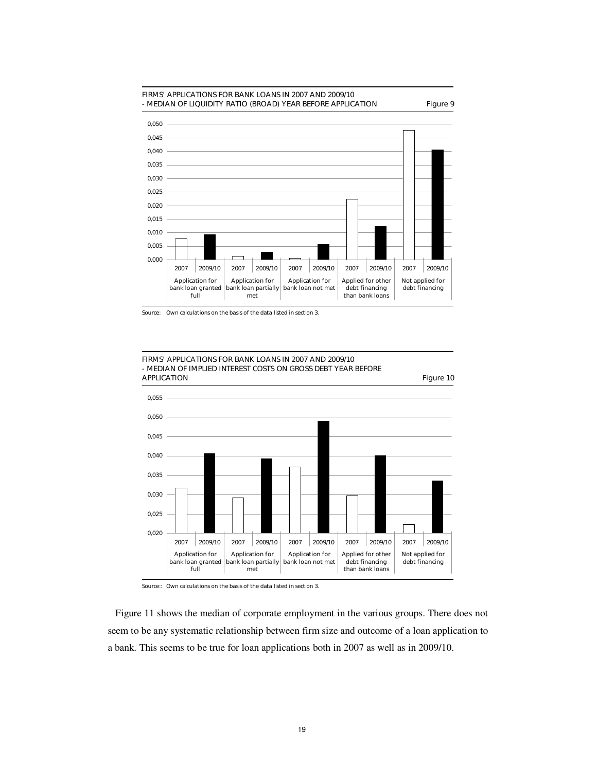

Source: Own calculations on the basis of the data listed in section 3.



Source:: Own calculations on the basis of the data listed in section 3.

Figure 11 shows the median of corporate employment in the various groups. There does not seem to be any systematic relationship between firm size and outcome of a loan application to a bank. This seems to be true for loan applications both in 2007 as well as in 2009/10.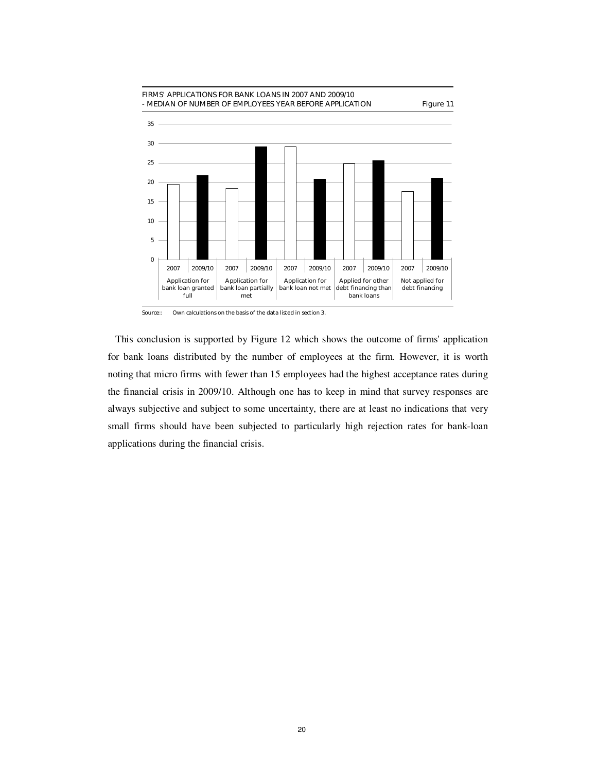

Source:: Own calculations on the basis of the data listed in section 3.

This conclusion is supported by Figure 12 which shows the outcome of firms' application for bank loans distributed by the number of employees at the firm. However, it is worth noting that micro firms with fewer than 15 employees had the highest acceptance rates during the financial crisis in 2009/10. Although one has to keep in mind that survey responses are always subjective and subject to some uncertainty, there are at least no indications that very small firms should have been subjected to particularly high rejection rates for bank-loan applications during the financial crisis.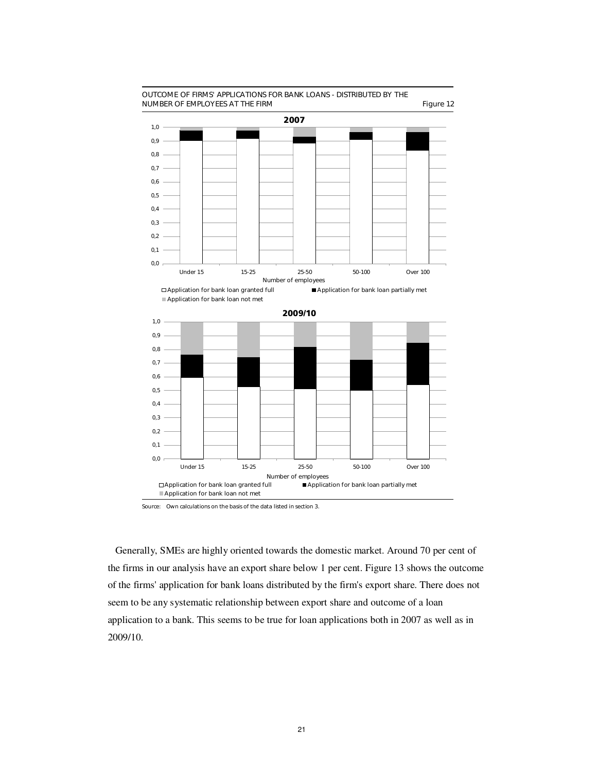

## OUTCOME OF FIRMS' APPLICATIONS FOR BANK LOANS - DISTRIBUTED BY THE

Source: Own calculations on the basis of the data listed in section 3.

Generally, SMEs are highly oriented towards the domestic market. Around 70 per cent of the firms in our analysis have an export share below 1 per cent. Figure 13 shows the outcome of the firms' application for bank loans distributed by the firm's export share. There does not seem to be any systematic relationship between export share and outcome of a loan application to a bank. This seems to be true for loan applications both in 2007 as well as in 2009/10.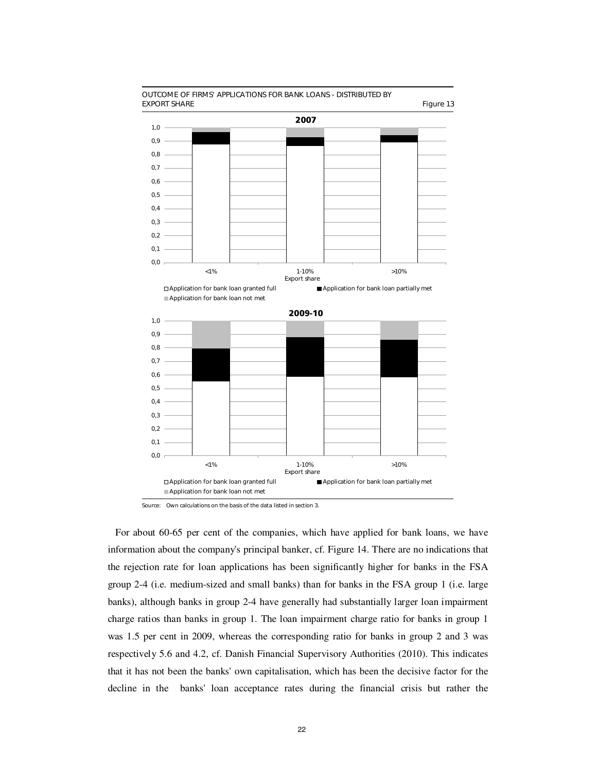

Source: Own calculations on the basis of the data listed in section 3.

For about 60-65 per cent of the companies, which have applied for bank loans, we have information about the company's principal banker, cf. Figure 14. There are no indications that the rejection rate for loan applications has been significantly higher for banks in the FSA group 2-4 (i.e. medium-sized and small banks) than for banks in the FSA group 1 (i.e. large banks), although banks in group 2-4 have generally had substantially larger loan impairment charge ratios than banks in group 1. The loan impairment charge ratio for banks in group 1 was 1.5 per cent in 2009, whereas the corresponding ratio for banks in group 2 and 3 was respectively 5.6 and 4.2, cf. Danish Financial Supervisory Authorities (2010). This indicates that it has not been the banks' own capitalisation, which has been the decisive factor for the decline in the banks' loan acceptance rates during the financial crisis but rather the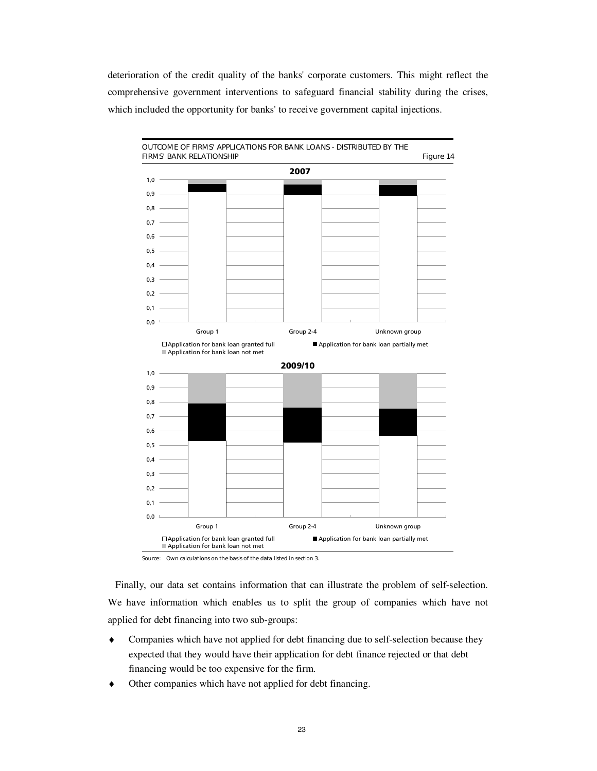deterioration of the credit quality of the banks' corporate customers. This might reflect the comprehensive government interventions to safeguard financial stability during the crises, which included the opportunity for banks' to receive government capital injections.



Source: Own calculations on the basis of the data listed in section 3.

Finally, our data set contains information that can illustrate the problem of self-selection. We have information which enables us to split the group of companies which have not applied for debt financing into two sub-groups:

- Companies which have not applied for debt financing due to self-selection because they expected that they would have their application for debt finance rejected or that debt financing would be too expensive for the firm.
- Other companies which have not applied for debt financing.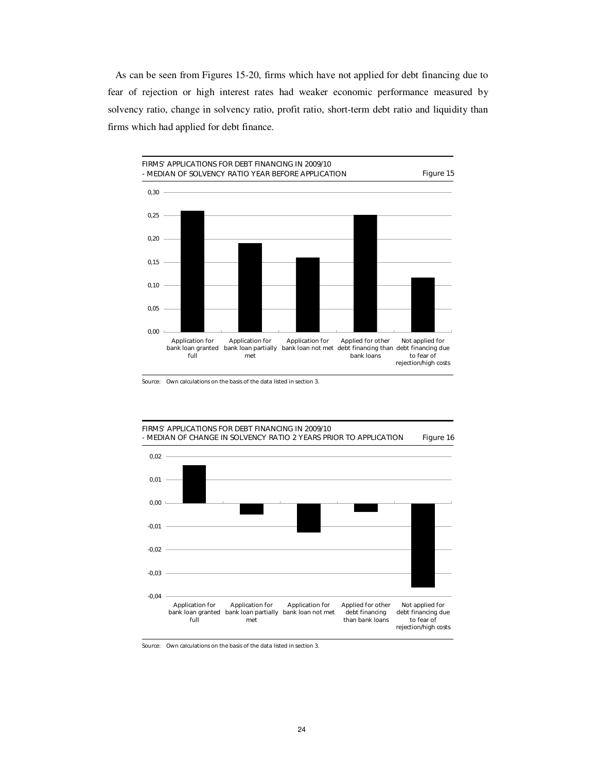As can be seen from Figures 15-20, firms which have not applied for debt financing due to fear of rejection or high interest rates had weaker economic performance measured by solvency ratio, change in solvency ratio, profit ratio, short-term debt ratio and liquidity than firms which had applied for debt finance.



Source: Own calculations on the basis of the data listed in section 3.





Source: Own calculations on the basis of the data listed in section 3.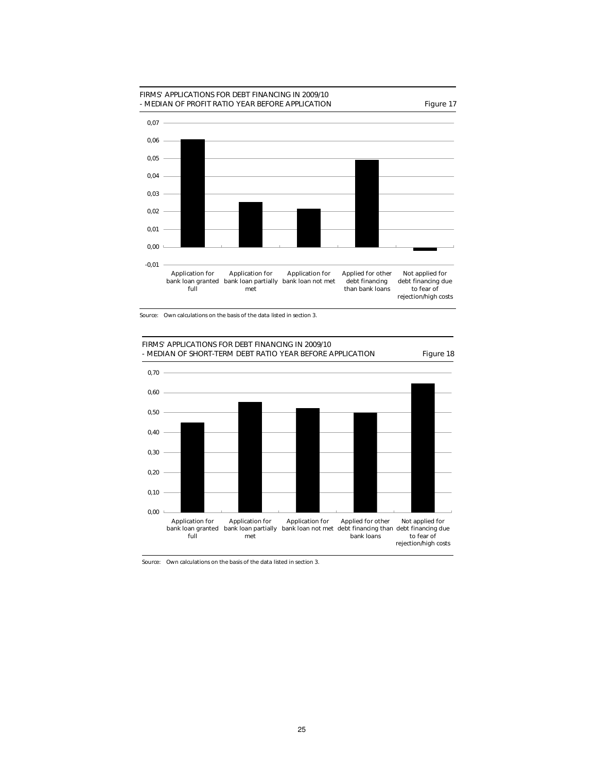

Source: Own calculations on the basis of the data listed in section 3.





Source: Own calculations on the basis of the data listed in section 3.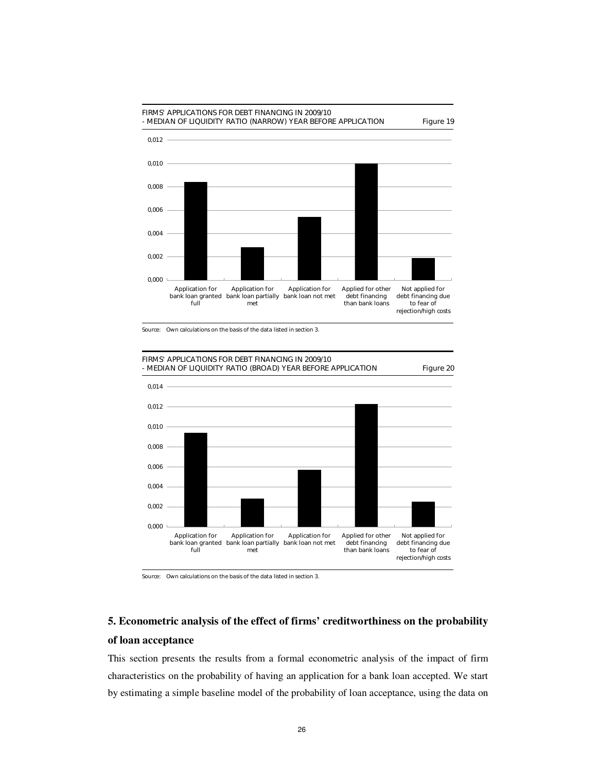

Source: Own calculations on the basis of the data listed in section 3.



### **5. Econometric analysis of the effect of firms' creditworthiness on the probability of loan acceptance**

This section presents the results from a formal econometric analysis of the impact of firm characteristics on the probability of having an application for a bank loan accepted. We start by estimating a simple baseline model of the probability of loan acceptance, using the data on

Source: Own calculations on the basis of the data listed in section 3.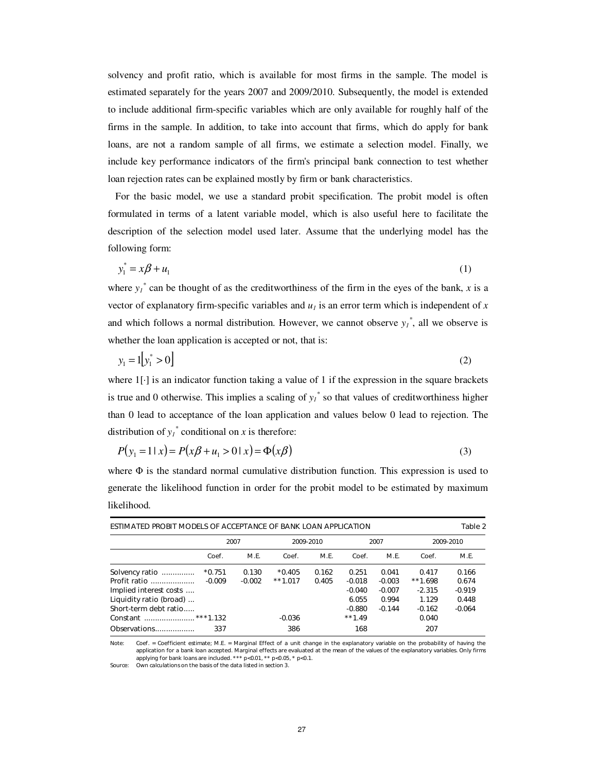solvency and profit ratio, which is available for most firms in the sample. The model is estimated separately for the years 2007 and 2009/2010. Subsequently, the model is extended to include additional firm-specific variables which are only available for roughly half of the firms in the sample. In addition, to take into account that firms, which do apply for bank loans, are not a random sample of all firms, we estimate a selection model. Finally, we include key performance indicators of the firm's principal bank connection to test whether loan rejection rates can be explained mostly by firm or bank characteristics.

For the basic model, we use a standard probit specification. The probit model is often formulated in terms of a latent variable model, which is also useful here to facilitate the description of the selection model used later. Assume that the underlying model has the following form:

$$
y_1^* = x\beta + u_1 \tag{1}
$$

where  $y_1^*$  can be thought of as the creditworthiness of the firm in the eyes of the bank, *x* is a vector of explanatory firm-specific variables and  $u_l$  is an error term which is independent of  $x$ and which follows a normal distribution. However, we cannot observe  $y_l^*$ , all we observe is whether the loan application is accepted or not, that is:

$$
y_1 = 1[y_1^* > 0]
$$
 (2)

where  $1[\cdot]$  is an indicator function taking a value of 1 if the expression in the square brackets is true and 0 otherwise. This implies a scaling of  $y_l^*$  so that values of creditworthiness higher than 0 lead to acceptance of the loan application and values below 0 lead to rejection. The distribution of  $y_1^*$  conditional on *x* is therefore:

$$
P(y_1 = 1 | x) = P(x\beta + u_1 > 0 | x) = \Phi(x\beta)
$$
\n(3)

where  $\Phi$  is the standard normal cumulative distribution function. This expression is used to generate the likelihood function in order for the probit model to be estimated by maximum likelihood.

| ESTIMATED PROBIT MODELS OF ACCEPTANCE OF BANK LOAN APPLICATION |          |          |            |             |           |          |            | Table 2  |
|----------------------------------------------------------------|----------|----------|------------|-------------|-----------|----------|------------|----------|
|                                                                | 2007     |          | 2009-2010  |             | 2007      |          | 2009-2010  |          |
|                                                                | Coef.    | M.E.     | Coef.      | <b>M.E.</b> | Coef.     | M.E.     | Coef.      | M.E.     |
| Solvency ratio                                                 | $*0.751$ | 0.130    | $*0.405$   | 0.162       | 0.251     | 0.041    | 0.417      | 0.166    |
| Profit ratio                                                   | $-0.009$ | $-0.002$ | $***1.017$ | 0.405       | $-0.018$  | $-0.003$ | $***1.698$ | 0.674    |
| Implied interest costs                                         |          |          |            |             | $-0.040$  | $-0.007$ | $-2.315$   | $-0.919$ |
| Liquidity ratio (broad)                                        |          |          |            |             | 6.055     | 0.994    | 1.129      | 0.448    |
| Short-term debt ratio                                          |          |          |            |             | $-0.880$  | $-0.144$ | $-0.162$   | $-0.064$ |
|                                                                |          |          | $-0.036$   |             | $***1.49$ |          | 0.040      |          |
| Observations                                                   | 337      |          | 386        |             | 168       |          | 207        |          |

Note: Coef. = Coefficient estimate; M.E. = Marginal Effect of a unit change in the explanatory variable on the probability of having the application for a bank loan accepted. Marginal effects are evaluated at the mean of the values of the explanatory variables. Only firms applying for bank loans are included. \*\*\*  $p<0.01$ , \*\*  $p<0.05$ , \*  $p<0.1$ .

Source: Own calculations on the basis of the data listed in section 3.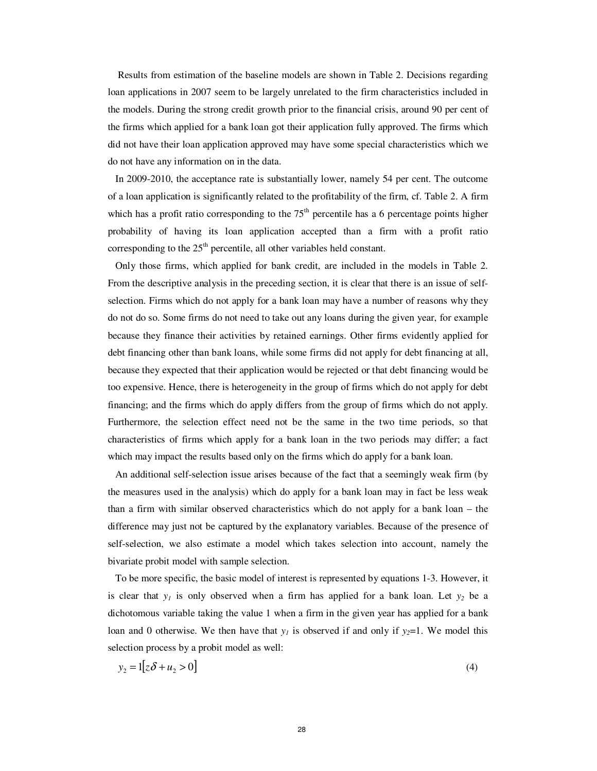Results from estimation of the baseline models are shown in Table 2. Decisions regarding loan applications in 2007 seem to be largely unrelated to the firm characteristics included in the models. During the strong credit growth prior to the financial crisis, around 90 per cent of the firms which applied for a bank loan got their application fully approved. The firms which did not have their loan application approved may have some special characteristics which we do not have any information on in the data.

In 2009-2010, the acceptance rate is substantially lower, namely 54 per cent. The outcome of a loan application is significantly related to the profitability of the firm, cf. Table 2. A firm which has a profit ratio corresponding to the  $75<sup>th</sup>$  percentile has a 6 percentage points higher probability of having its loan application accepted than a firm with a profit ratio corresponding to the  $25<sup>th</sup>$  percentile, all other variables held constant.

Only those firms, which applied for bank credit, are included in the models in Table 2. From the descriptive analysis in the preceding section, it is clear that there is an issue of selfselection. Firms which do not apply for a bank loan may have a number of reasons why they do not do so. Some firms do not need to take out any loans during the given year, for example because they finance their activities by retained earnings. Other firms evidently applied for debt financing other than bank loans, while some firms did not apply for debt financing at all, because they expected that their application would be rejected or that debt financing would be too expensive. Hence, there is heterogeneity in the group of firms which do not apply for debt financing; and the firms which do apply differs from the group of firms which do not apply. Furthermore, the selection effect need not be the same in the two time periods, so that characteristics of firms which apply for a bank loan in the two periods may differ; a fact which may impact the results based only on the firms which do apply for a bank loan.

An additional self-selection issue arises because of the fact that a seemingly weak firm (by the measures used in the analysis) which do apply for a bank loan may in fact be less weak than a firm with similar observed characteristics which do not apply for a bank loan – the difference may just not be captured by the explanatory variables. Because of the presence of self-selection, we also estimate a model which takes selection into account, namely the bivariate probit model with sample selection.

To be more specific, the basic model of interest is represented by equations 1-3. However, it is clear that  $y<sub>1</sub>$  is only observed when a firm has applied for a bank loan. Let  $y<sub>2</sub>$  be a dichotomous variable taking the value 1 when a firm in the given year has applied for a bank loan and 0 otherwise. We then have that  $y<sub>I</sub>$  is observed if and only if  $y<sub>2</sub>=1$ . We model this selection process by a probit model as well:

$$
y_2 = 1[z\delta + u_2 > 0] \tag{4}
$$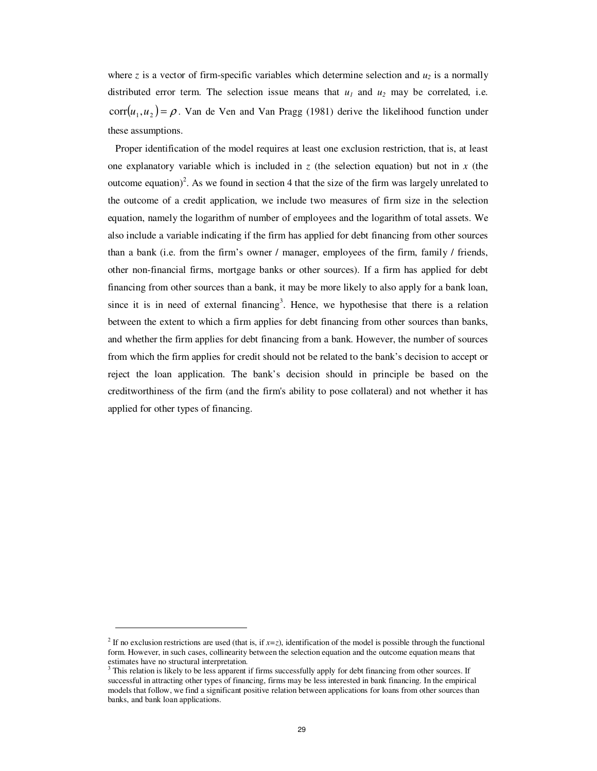where *z* is a vector of firm-specific variables which determine selection and  $u_2$  is a normally distributed error term. The selection issue means that  $u_1$  and  $u_2$  may be correlated, i.e.  $corr(u_1, u_2) = \rho$ . Van de Ven and Van Pragg (1981) derive the likelihood function under these assumptions.

Proper identification of the model requires at least one exclusion restriction, that is, at least one explanatory variable which is included in  $z$  (the selection equation) but not in  $x$  (the outcome equation)<sup>2</sup>. As we found in section 4 that the size of the firm was largely unrelated to the outcome of a credit application, we include two measures of firm size in the selection equation, namely the logarithm of number of employees and the logarithm of total assets. We also include a variable indicating if the firm has applied for debt financing from other sources than a bank (i.e. from the firm's owner / manager, employees of the firm, family / friends, other non-financial firms, mortgage banks or other sources). If a firm has applied for debt financing from other sources than a bank, it may be more likely to also apply for a bank loan, since it is in need of external financing<sup>3</sup>. Hence, we hypothesise that there is a relation between the extent to which a firm applies for debt financing from other sources than banks, and whether the firm applies for debt financing from a bank. However, the number of sources from which the firm applies for credit should not be related to the bank's decision to accept or reject the loan application. The bank's decision should in principle be based on the creditworthiness of the firm (and the firm's ability to pose collateral) and not whether it has applied for other types of financing.

-

<sup>&</sup>lt;sup>2</sup> If no exclusion restrictions are used (that is, if  $x=z$ ), identification of the model is possible through the functional form. However, in such cases, collinearity between the selection equation and the outcome equation means that estimates have no structural interpretation.

<sup>&</sup>lt;sup>3</sup> This relation is likely to be less apparent if firms successfully apply for debt financing from other sources. If successful in attracting other types of financing, firms may be less interested in bank financing. In the empirical models that follow, we find a significant positive relation between applications for loans from other sources than banks, and bank loan applications.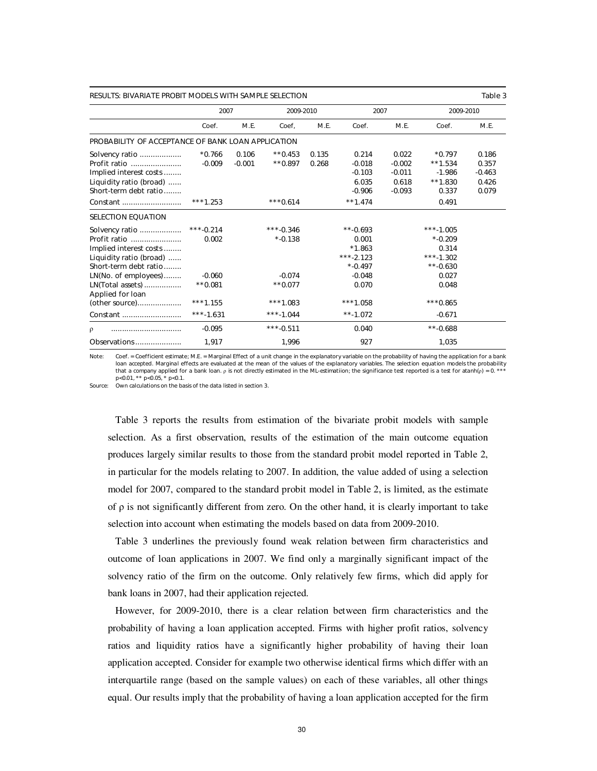| <b>RESULTS: BIVARIATE PROBIT MODELS WITH SAMPLE SELECTION</b> |             |          |             |       |             |          |             | Table 3  |
|---------------------------------------------------------------|-------------|----------|-------------|-------|-------------|----------|-------------|----------|
|                                                               | 2007        |          | 2009-2010   |       | 2007        |          | 2009-2010   |          |
|                                                               | Coef.       | M.E.     | Coef.       | M.E.  | Coef.       | M.E.     | Coef.       | M.E.     |
| PROBABILITY OF ACCEPTANCE OF BANK LOAN APPLICATION            |             |          |             |       |             |          |             |          |
| Solvency ratio                                                | $*0.766$    | 0.106    | $**0.453$   | 0.135 | 0.214       | 0.022    | $*0.797$    | 0.186    |
| Profit ratio                                                  | $-0.009$    | $-0.001$ | $**0.897$   | 0.268 | $-0.018$    | $-0.002$ | $***1.534$  | 0.357    |
| Implied interest costs                                        |             |          |             |       | $-0.103$    | $-0.011$ | $-1.986$    | $-0.463$ |
| Liquidity ratio (broad)                                       |             |          |             |       | 6.035       | 0.618    | $**1.830$   | 0.426    |
| Short-term debt ratio                                         |             |          |             |       | $-0.906$    | $-0.093$ | 0.337       | 0.079    |
| Constant                                                      | $***1.253$  |          | $***0.614$  |       | $***1.474$  |          | 0.491       |          |
| <b>SELECTION EQUATION</b>                                     |             |          |             |       |             |          |             |          |
| Solvency ratio                                                | $***-0.214$ |          | $***-0.346$ |       | $***-0.693$ |          | $***-1.005$ |          |
| Profit ratio                                                  | 0.002       |          | $* -0.138$  |       | 0.001       |          | $*$ -0.209  |          |
| Implied interest costs                                        |             |          |             |       | $*1.863$    |          | 0.314       |          |
| Liquidity ratio (broad)                                       |             |          |             |       | $***-2.123$ |          | $***-1.302$ |          |
| Short-term debt ratio                                         |             |          |             |       | $* -0.497$  |          | $***-0.630$ |          |
| LN(No. of employees)                                          | $-0.060$    |          | $-0.074$    |       | $-0.048$    |          | 0.027       |          |
| LN(Total assets)                                              | $**0.081$   |          | $**0.077$   |       | 0.070       |          | 0.048       |          |
| Applied for loan                                              |             |          |             |       |             |          |             |          |
| (other source)                                                | $***1.155$  |          | $***1.083$  |       | $***1.058$  |          | $***0.865$  |          |
| Constant                                                      | $***-1.631$ |          | $***-1.044$ |       | $***-1.072$ |          | $-0.671$    |          |
| ρ<br>                                                         | $-0.095$    |          | $***-0.511$ |       | 0.040       |          | $***-0.688$ |          |
| Observations                                                  | 1,917       |          | 1,996       |       | 927         |          | 1,035       |          |

Note: Coef. = Coefficient estimate; M.E. = Marginal Effect of a unit change in the explanatory variable on the probability of having the application for a bank loan accepted. Marginal effects are evaluated at the mean of the values of the explanatory variables. The selection equation models the probability that a company applied for a bank loan. ρ is not directly estimated in the ML-estimatiion; the significance test reported is a test for atanh(ρ) = 0. \*\*\*<br>p<0.01, \*\* p<0.05, \* p<0.1.

Source: Own calculations on the basis of the data listed in section 3.

Table 3 reports the results from estimation of the bivariate probit models with sample selection. As a first observation, results of the estimation of the main outcome equation produces largely similar results to those from the standard probit model reported in Table 2, in particular for the models relating to 2007. In addition, the value added of using a selection model for 2007, compared to the standard probit model in Table 2, is limited, as the estimate of  $\rho$  is not significantly different from zero. On the other hand, it is clearly important to take selection into account when estimating the models based on data from 2009-2010.

Table 3 underlines the previously found weak relation between firm characteristics and outcome of loan applications in 2007. We find only a marginally significant impact of the solvency ratio of the firm on the outcome. Only relatively few firms, which did apply for bank loans in 2007, had their application rejected.

However, for 2009-2010, there is a clear relation between firm characteristics and the probability of having a loan application accepted. Firms with higher profit ratios, solvency ratios and liquidity ratios have a significantly higher probability of having their loan application accepted. Consider for example two otherwise identical firms which differ with an interquartile range (based on the sample values) on each of these variables, all other things equal. Our results imply that the probability of having a loan application accepted for the firm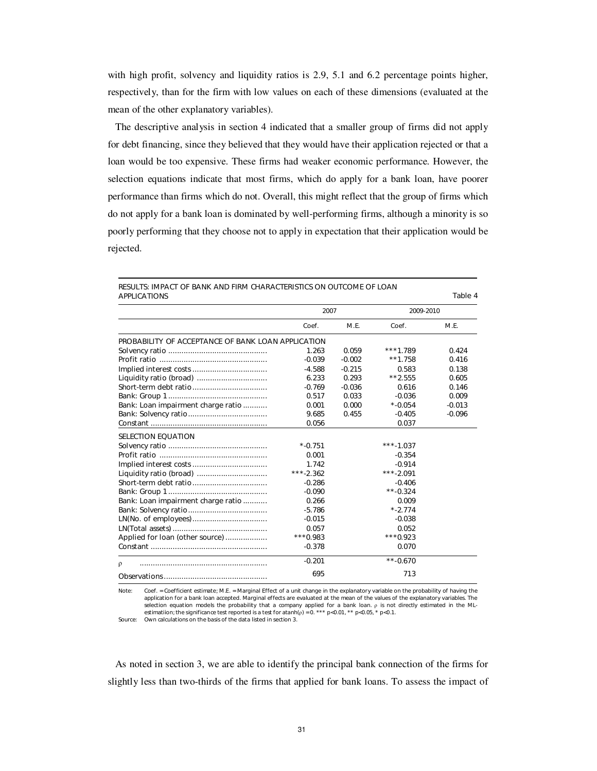with high profit, solvency and liquidity ratios is 2.9, 5.1 and 6.2 percentage points higher, respectively, than for the firm with low values on each of these dimensions (evaluated at the mean of the other explanatory variables).

The descriptive analysis in section 4 indicated that a smaller group of firms did not apply for debt financing, since they believed that they would have their application rejected or that a loan would be too expensive. These firms had weaker economic performance. However, the selection equations indicate that most firms, which do apply for a bank loan, have poorer performance than firms which do not. Overall, this might reflect that the group of firms which do not apply for a bank loan is dominated by well-performing firms, although a minority is so poorly performing that they choose not to apply in expectation that their application would be rejected.

| <b>APPLICATIONS</b>                                       |             |          |             | Table 4  |
|-----------------------------------------------------------|-------------|----------|-------------|----------|
|                                                           | 2007        |          | 2009-2010   |          |
|                                                           | Coef.       | M.E.     | Coef.       | M.E.     |
| <b>PROBABILITY OF ACCEPTANCE OF BANK LOAN APPLICATION</b> |             |          |             |          |
|                                                           | 1.263       | 0.059    | $***1.789$  | 0.424    |
|                                                           | $-0.039$    | $-0.002$ | $**1.758$   | 0.416    |
|                                                           | $-4.588$    | $-0.215$ | 0.583       | 0.138    |
| Liquidity ratio (broad)                                   | 6.233       | 0.293    | $**2.555$   | 0.605    |
|                                                           | $-0.769$    | $-0.036$ | 0.616       | 0.146    |
|                                                           | 0.517       | 0.033    | $-0.036$    | 0.009    |
| Bank: Loan impairment charge ratio                        | 0.001       | 0.000    | $* -0.054$  | $-0.013$ |
|                                                           | 9.685       | 0.455    | $-0.405$    | $-0.096$ |
|                                                           | 0.056       |          | 0.037       |          |
| <b>SELECTION EQUATION</b>                                 |             |          |             |          |
|                                                           | $* -0.751$  |          | $***-1.037$ |          |
|                                                           | 0.001       |          | $-0.354$    |          |
|                                                           | 1.742       |          | $-0.914$    |          |
|                                                           | $***-2.362$ |          | $***-2.091$ |          |
|                                                           | $-0.286$    |          | $-0.406$    |          |
|                                                           | $-0.090$    |          | $***-0.324$ |          |
| Bank: Loan impairment charge ratio                        | 0.266       |          | 0.009       |          |
|                                                           | $-5.786$    |          | $* - 2.774$ |          |
|                                                           | $-0.015$    |          | $-0.038$    |          |
|                                                           | 0.057       |          | 0.052       |          |
| Applied for loan (other source)                           | $***0.983$  |          | $***0.923$  |          |
|                                                           | $-0.378$    |          | 0.070       |          |
| $\rho$                                                    | $-0.201$    |          | $***-0.670$ |          |
|                                                           | 695         |          | 713         |          |

RESULTS: IMPACT OF BANK AND FIRM CHARACTERISTICS ON OUTCOME OF LOAN

Note: Coef. = Coefficient estimate; M.E. = Marginal Effect of a unit change in the explanatory variable on the probability of having the application for a bank loan accepted. Marginal effects are evaluated at the mean of the values of the explanatory variables. The selection equation models the probability that a company applied for a bank loan.  $\rho$  is not directly estimated in the ML-<br>estimation; the significance test reported is a test for atanh( $\rho$ ) = 0. \*\*\* p<0.01, \*\* p<0.05,

As noted in section 3, we are able to identify the principal bank connection of the firms for slightly less than two-thirds of the firms that applied for bank loans. To assess the impact of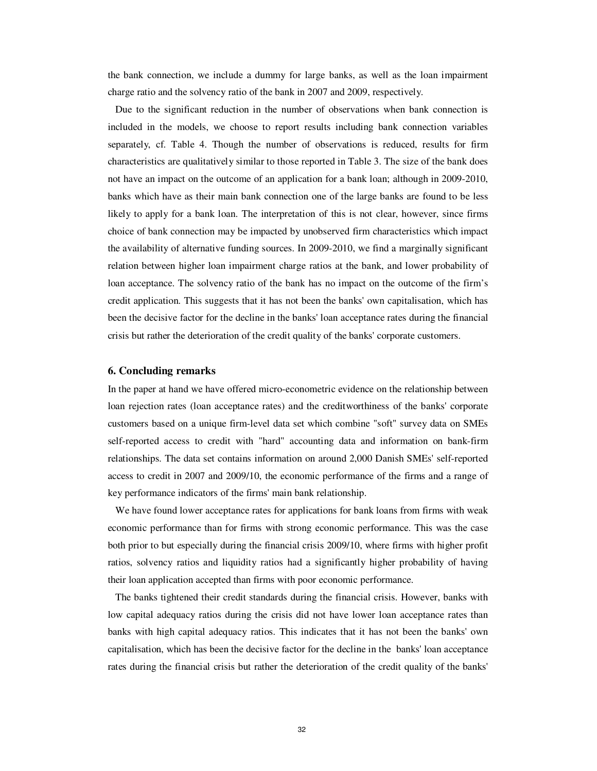the bank connection, we include a dummy for large banks, as well as the loan impairment charge ratio and the solvency ratio of the bank in 2007 and 2009, respectively.

Due to the significant reduction in the number of observations when bank connection is included in the models, we choose to report results including bank connection variables separately, cf. Table 4. Though the number of observations is reduced, results for firm characteristics are qualitatively similar to those reported in Table 3. The size of the bank does not have an impact on the outcome of an application for a bank loan; although in 2009-2010, banks which have as their main bank connection one of the large banks are found to be less likely to apply for a bank loan. The interpretation of this is not clear, however, since firms choice of bank connection may be impacted by unobserved firm characteristics which impact the availability of alternative funding sources. In 2009-2010, we find a marginally significant relation between higher loan impairment charge ratios at the bank, and lower probability of loan acceptance. The solvency ratio of the bank has no impact on the outcome of the firm's credit application. This suggests that it has not been the banks' own capitalisation, which has been the decisive factor for the decline in the banks' loan acceptance rates during the financial crisis but rather the deterioration of the credit quality of the banks' corporate customers.

#### **6. Concluding remarks**

In the paper at hand we have offered micro-econometric evidence on the relationship between loan rejection rates (loan acceptance rates) and the creditworthiness of the banks' corporate customers based on a unique firm-level data set which combine "soft" survey data on SMEs self-reported access to credit with "hard" accounting data and information on bank-firm relationships. The data set contains information on around 2,000 Danish SMEs' self-reported access to credit in 2007 and 2009/10, the economic performance of the firms and a range of key performance indicators of the firms' main bank relationship.

We have found lower acceptance rates for applications for bank loans from firms with weak economic performance than for firms with strong economic performance. This was the case both prior to but especially during the financial crisis 2009/10, where firms with higher profit ratios, solvency ratios and liquidity ratios had a significantly higher probability of having their loan application accepted than firms with poor economic performance.

The banks tightened their credit standards during the financial crisis. However, banks with low capital adequacy ratios during the crisis did not have lower loan acceptance rates than banks with high capital adequacy ratios. This indicates that it has not been the banks' own capitalisation, which has been the decisive factor for the decline in the banks' loan acceptance rates during the financial crisis but rather the deterioration of the credit quality of the banks'